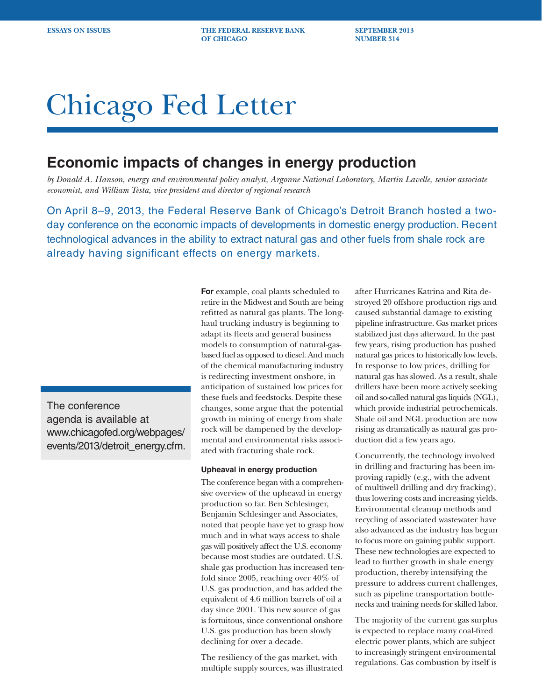**ESSAYS ON ISSUES THE FEDERAL RESERVE BANK SEPTEMBER 2013 OF CHICAGO** NUMBER 314

# Chicago Fed Letter

## **Economic impacts of changes in energy production**

*by Donald A. Hanson, energy and environmental policy analyst, Argonne National Laboratory, Martin Lavelle, senior associate economist, and William Testa, vice president and director of regional research*

On April 8–9, 2013, the Federal Reserve Bank of Chicago's Detroit Branch hosted a twoday conference on the economic impacts of developments in domestic energy production. Recent technological advances in the ability to extract natural gas and other fuels from shale rock are already having significant effects on energy markets.

The conference agenda is available at www.chicagofed.org/webpages/ events/2013/detroit\_energy.cfm. **For** example, coal plants scheduled to retire in the Midwest and South are being refitted as natural gas plants. The longhaul trucking industry is beginning to adapt its fleets and general business models to consumption of natural-gasbased fuel as opposed to diesel. And much of the chemical manufacturing industry is redirecting investment onshore, in anticipation of sustained low prices for these fuels and feedstocks. Despite these changes, some argue that the potential growth in mining of energy from shale rock will be dampened by the developmental and environmental risks associated with fracturing shale rock.

### **Upheaval in energy production**

The conference began with a comprehensive overview of the upheaval in energy production so far. Ben Schlesinger, Benjamin Schlesinger and Associates, noted that people have yet to grasp how much and in what ways access to shale gas will positively affect the U.S. economy because most studies are outdated. U.S. shale gas production has increased tenfold since 2005, reaching over 40% of U.S. gas production, and has added the equivalent of 4.6 million barrels of oil a day since 2001. This new source of gas is fortuitous, since conventional onshore U.S. gas production has been slowly declining for over a decade.

The resiliency of the gas market, with multiple supply sources, was illustrated

after Hurricanes Katrina and Rita destroyed 20 offshore production rigs and caused substantial damage to existing pipeline infrastructure. Gas market prices stabilized just days afterward. In the past few years, rising production has pushed natural gas prices to historically low levels. In response to low prices, drilling for natural gas has slowed. As a result, shale drillers have been more actively seeking oil and so-called natural gas liquids (NGL), which provide industrial petrochemicals. Shale oil and NGL production are now rising as dramatically as natural gas production did a few years ago.

Concurrently, the technology involved in drilling and fracturing has been improving rapidly (e.g., with the advent of multiwell drilling and dry fracking), thus lowering costs and increasing yields. Environmental cleanup methods and recycling of associated wastewater have also advanced as the industry has begun to focus more on gaining public support. These new technologies are expected to lead to further growth in shale energy production, thereby intensifying the pressure to address current challenges, such as pipeline transportation bottlenecks and training needs for skilled labor.

The majority of the current gas surplus is expected to replace many coal-fired electric power plants, which are subject to increasingly stringent environmental regulations. Gas combustion by itself is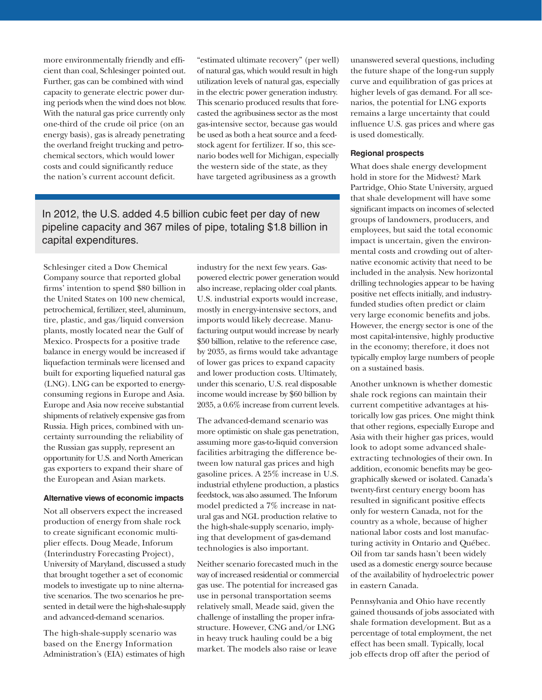more environmentally friendly and efficient than coal, Schlesinger pointed out. Further, gas can be combined with wind capacity to generate electric power during periods when the wind does not blow. With the natural gas price currently only one-third of the crude oil price (on an energy basis), gas is already penetrating the overland freight trucking and petrochemical sectors, which would lower costs and could significantly reduce the nation's current account deficit.

"estimated ultimate recovery" (per well) of natural gas, which would result in high utilization levels of natural gas, especially in the electric power generation industry. This scenario produced results that forecasted the agribusiness sector as the most gas-intensive sector, because gas would be used as both a heat source and a feedstock agent for fertilizer. If so, this scenario bodes well for Michigan, especially the western side of the state, as they have targeted agribusiness as a growth

In 2012, the U.S. added 4.5 billion cubic feet per day of new pipeline capacity and 367 miles of pipe, totaling \$1.8 billion in capital expenditures.

Schlesinger cited a Dow Chemical Company source that reported global firms' intention to spend \$80 billion in the United States on 100 new chemical, petrochemical, fertilizer, steel, aluminum, tire, plastic, and gas/liquid conversion plants, mostly located near the Gulf of Mexico. Prospects for a positive trade balance in energy would be increased if liquefaction terminals were licensed and built for exporting liquefied natural gas (LNG). LNG can be exported to energyconsuming regions in Europe and Asia. Europe and Asia now receive substantial shipments of relatively expensive gas from Russia. High prices, combined with uncertainty surrounding the reliability of the Russian gas supply, represent an opportunity for U.S. and North American gas exporters to expand their share of the European and Asian markets.

#### **Alternative views of economic impacts**

Not all observers expect the increased production of energy from shale rock to create significant economic multiplier effects. Doug Meade, Inforum (Interindustry Forecasting Project), University of Maryland, discussed a study that brought together a set of economic models to investigate up to nine alternative scenarios. The two scenarios he presented in detail were the high-shale-supply and advanced-demand scenarios.

The high-shale-supply scenario was based on the Energy Information Administration's (EIA) estimates of high industry for the next few years. Gaspowered electric power generation would also increase, replacing older coal plants. U.S. industrial exports would increase, mostly in energy-intensive sectors, and imports would likely decrease. Manufacturing output would increase by nearly \$50 billion, relative to the reference case, by 2035, as firms would take advantage of lower gas prices to expand capacity and lower production costs. Ultimately, under this scenario, U.S. real disposable income would increase by \$60 billion by 2035, a 0.6% increase from current levels.

The advanced-demand scenario was more optimistic on shale gas penetration, assuming more gas-to-liquid conversion facilities arbitraging the difference between low natural gas prices and high gasoline prices. A 25% increase in U.S. industrial ethylene production, a plastics feedstock, was also assumed. The Inforum model predicted a 7% increase in natural gas and NGL production relative to the high-shale-supply scenario, implying that development of gas-demand technologies is also important.

Neither scenario forecasted much in the way of increased residential or commercial gas use. The potential for increased gas use in personal transportation seems relatively small, Meade said, given the challenge of installing the proper infrastructure. However, CNG and/or LNG in heavy truck hauling could be a big market. The models also raise or leave

unanswered several questions, including the future shape of the long-run supply curve and equilibration of gas prices at higher levels of gas demand. For all scenarios, the potential for LNG exports remains a large uncertainty that could influence U.S. gas prices and where gas is used domestically.

#### **Regional prospects**

What does shale energy development hold in store for the Midwest? Mark Partridge, Ohio State University, argued that shale development will have some significant impacts on incomes of selected groups of landowners, producers, and employees, but said the total economic impact is uncertain, given the environmental costs and crowding out of alternative economic activity that need to be included in the analysis. New horizontal drilling technologies appear to be having positive net effects initially, and industryfunded studies often predict or claim very large economic benefits and jobs. However, the energy sector is one of the most capital-intensive, highly productive in the economy; therefore, it does not typically employ large numbers of people on a sustained basis.

Another unknown is whether domestic shale rock regions can maintain their current competitive advantages at historically low gas prices. One might think that other regions, especially Europe and Asia with their higher gas prices, would look to adopt some advanced shaleextracting technologies of their own. In addition, economic benefits may be geographically skewed or isolated. Canada's twenty-first century energy boom has resulted in significant positive effects only for western Canada, not for the country as a whole, because of higher national labor costs and lost manufacturing activity in Ontario and Québec. Oil from tar sands hasn't been widely used as a domestic energy source because of the availability of hydroelectric power in eastern Canada.

Pennsylvania and Ohio have recently gained thousands of jobs associated with shale formation development. But as a percentage of total employment, the net effect has been small. Typically, local job effects drop off after the period of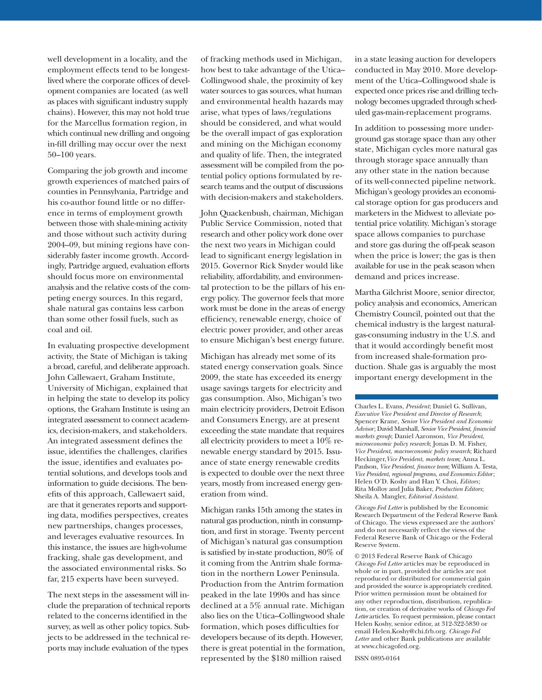well development in a locality, and the employment effects tend to be longestlived where the corporate offices of development companies are located (as well as places with significant industry supply chains). However, this may not hold true for the Marcellus formation region, in which continual new drilling and ongoing in-fill drilling may occur over the next 50–100 years.

Comparing the job growth and income growth experiences of matched pairs of counties in Pennsylvania, Partridge and his co-author found little or no difference in terms of employment growth between those with shale-mining activity and those without such activity during 2004–09, but mining regions have considerably faster income growth. Accordingly, Partridge argued, evaluation efforts should focus more on environmental analysis and the relative costs of the competing energy sources. In this regard, shale natural gas contains less carbon than some other fossil fuels, such as coal and oil.

In evaluating prospective development activity, the State of Michigan is taking a broad, careful, and deliberate approach. John Callewaert, Graham Institute, University of Michigan, explained that in helping the state to develop its policy options, the Graham Institute is using an integrated assessment to connect academics, decision-makers, and stakeholders. An integrated assessment defines the issue, identifies the challenges, clarifies the issue, identifies and evaluates potential solutions, and develops tools and information to guide decisions. The benefits of this approach, Callewaert said, are that it generates reports and supporting data, modifies perspectives, creates new partnerships, changes processes, and leverages evaluative resources. In this instance, the issues are high-volume fracking, shale gas development, and the associated environmental risks. So far, 215 experts have been surveyed.

The next steps in the assessment will include the preparation of technical reports related to the concerns identified in the survey, as well as other policy topics. Subjects to be addressed in the technical reports may include evaluation of the types

of fracking methods used in Michigan, how best to take advantage of the Utica– Collingwood shale, the proximity of key water sources to gas sources, what human and environmental health hazards may arise, what types of laws/regulations should be considered, and what would be the overall impact of gas exploration and mining on the Michigan economy and quality of life. Then, the integrated assessment will be compiled from the potential policy options formulated by research teams and the output of discussions with decision-makers and stakeholders.

John Quackenbush, chairman, Michigan Public Service Commission, noted that research and other policy work done over the next two years in Michigan could lead to significant energy legislation in 2015. Governor Rick Snyder would like reliability, affordability, and environmental protection to be the pillars of his energy policy. The governor feels that more work must be done in the areas of energy efficiency, renewable energy, choice of electric power provider, and other areas to ensure Michigan's best energy future.

Michigan has already met some of its stated energy conservation goals. Since 2009, the state has exceeded its energy usage savings targets for electricity and gas consumption. Also, Michigan's two main electricity providers, Detroit Edison and Consumers Energy, are at present exceeding the state mandate that requires all electricity providers to meet a 10% renewable energy standard by 2015. Issuance of state energy renewable credits is expected to double over the next three years, mostly from increased energy generation from wind.

Michigan ranks 15th among the states in natural gas production, ninth in consumption, and first in storage. Twenty percent of Michigan's natural gas consumption is satisfied by in-state production, 80% of it coming from the Antrim shale formation in the northern Lower Peninsula. Production from the Antrim formation peaked in the late 1990s and has since declined at a 5% annual rate. Michigan also lies on the Utica–Collingwood shale formation, which poses difficulties for developers because of its depth. However, there is great potential in the formation, represented by the \$180 million raised

in a state leasing auction for developers conducted in May 2010. More development of the Utica–Collingwood shale is expected once prices rise and drilling technology becomes upgraded through scheduled gas-main-replacement programs.

In addition to possessing more underground gas storage space than any other state, Michigan cycles more natural gas through storage space annually than any other state in the nation because of its well-connected pipeline network. Michigan's geology provides an economical storage option for gas producers and marketers in the Midwest to alleviate potential price volatility. Michigan's storage space allows companies to purchase and store gas during the off-peak season when the price is lower; the gas is then available for use in the peak season when demand and prices increase.

Martha Gilchrist Moore, senior director, policy analysis and economics, American Chemistry Council, pointed out that the chemical industry is the largest naturalgas-consuming industry in the U.S. and that it would accordingly benefit most from increased shale-formation production. Shale gas is arguably the most important energy development in the

Charles L. Evans, *President*; Daniel G. Sullivan, *Executive Vice President and Director of Research*; Spencer Krane, *Senior Vice President and Economic Advisor*; David Marshall, *Senior Vice President*, *financial markets group*; Daniel Aaronson, *Vice President*, *microeconomic policy research*; Jonas D. M. Fisher, *Vice President*, *macroeconomic policy research*; Richard Heckinger,*Vice President*, *markets team*; Anna L. Paulson, *Vice President*, *finance team*; William A. Testa, *Vice President*, *regional programs*, *and Economics Editor*; Helen O'D. Koshy and Han Y. Choi, *Editors* ; Rita Molloy and Julia Baker, *Production Editors*; Sheila A. Mangler, *Editorial Assistant.* 

*Chicago Fed Letter* is published by the Economic Research Department of the Federal Reserve Bank of Chicago. The views expressed are the authors' and do not necessarily reflect the views of the Federal Reserve Bank of Chicago or the Federal Reserve System.

© 2013 Federal Reserve Bank of Chicago *Chicago Fed Letter* articles may be reproduced in whole or in part, provided the articles are not reproduced or distributed for commercial gain and provided the source is appropriately credited. Prior written permission must be obtained for any other reproduction, distribution, republication, or creation of derivative works of *Chicago Fed Letter* articles. To request permission, please contact Helen Koshy, senior editor, at 312-322-5830 or email Helen.Koshy@chi.frb.org. *Chicago Fed Letter* and other Bank publications are available at www.chicagofed.org.

ISSN 0895-0164